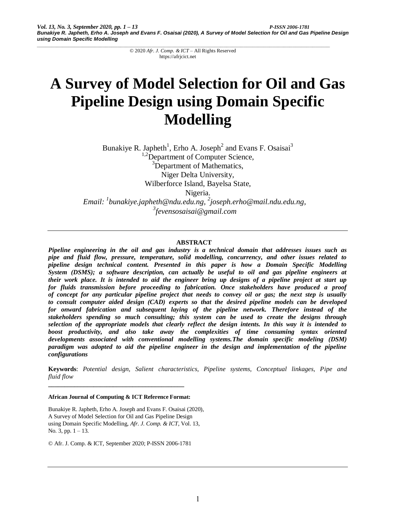# **A Survey of Model Selection for Oil and Gas Pipeline Design using Domain Specific Modelling**

Bunakiye R. Japheth<sup>1</sup>, Erho A. Joseph<sup>2</sup> and Evans F. Osaisai<sup>3</sup> <sup>1,2</sup>Department of Computer Science, <sup>3</sup>Department of Mathematics, Niger Delta University, Wilberforce Island, Bayelsa State, Nigeria. *Email: 1 bunakiye.japheth@ndu.edu.ng, 2 joseph.erho@mail.ndu.edu.ng,* 

*3 fevensosaisai@gmail.com*

## **ABSTRACT**

*Pipeline engineering in the oil and gas industry is a technical domain that addresses issues such as pipe and fluid flow, pressure, temperature, solid modelling, concurrency, and other issues related to pipeline design technical content. Presented in this paper is how a Domain Specific Modelling System (DSMS); a software description, can actually be useful to oil and gas pipeline engineers at their work place. It is intended to aid the engineer bring up designs of a pipeline project at start up for fluids transmission before proceeding to fabrication. Once stakeholders have produced a proof of concept for any particular pipeline project that needs to convey oil or gas; the next step is usually to consult computer aided design (CAD) experts so that the desired pipeline models can be developed for onward fabrication and subsequent laying of the pipeline network. Therefore instead of the stakeholders spending so much consulting; this system can be used to create the designs through selection of the appropriate models that clearly reflect the design intents. In this way it is intended to boost productivity, and also take away the complexities of time consuming syntax oriented developments associated with conventional modelling systems.The domain specific modeling (DSM) paradigm was adopted to aid the pipeline engineer in the design and implementation of the pipeline configurations*

**Keywords**: *Potential design, Salient characteristics, Pipeline systems, Conceptual linkages, Pipe and fluid flow*

**African Journal of Computing & ICT Reference Format:**

**\_\_\_\_\_\_\_\_\_\_\_\_\_\_\_\_\_\_\_\_\_\_\_\_\_\_\_\_\_\_\_\_\_\_\_\_\_\_\_\_\_\_**

Bunakiye R. Japheth, Erho A. Joseph and Evans F. Osaisai (2020), A Survey of Model Selection for Oil and Gas Pipeline Design using Domain Specific Modelling, *Afr. J. Comp. & ICT*, Vol. 13, No. 3, pp.  $1 - 13$ .

© Afr. J. Comp. & ICT, September 2020; P-ISSN 2006-1781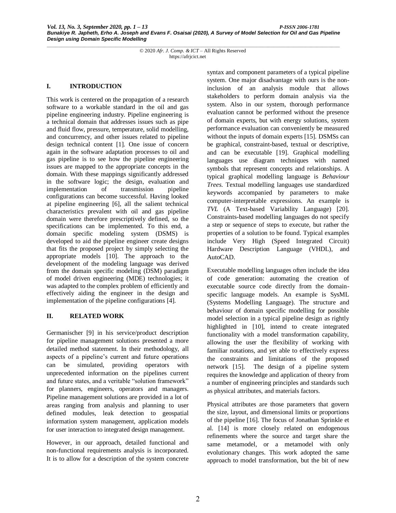#### **I. INTRODUCTION**

This work is centered on the propagation of a research software to a workable standard in the oil and gas pipeline engineering industry. Pipeline engineering is a technical domain that addresses issues such as pipe and fluid flow, pressure, temperature, solid modelling, and concurrency, and other issues related to pipeline design technical content [1]. One issue of concern again in the software adaptation processes to oil and gas pipeline is to see how the pipeline engineering issues are mapped to the appropriate concepts in the domain. With these mappings significantly addressed in the software logic; the design, evaluation and implementation of transmission pipeline configurations can become successful. Having looked at pipeline engineering [6], all the salient technical characteristics prevalent with oil and gas pipeline domain were therefore prescriptively defined, so the specifications can be implemented. To this end, a domain specific modeling system (DSMS) is developed to aid the pipeline engineer create designs that fits the proposed project by simply selecting the appropriate models [10]. The approach to the development of the modeling language was derived from the domain specific modeling (DSM) paradigm of model driven engineering (MDE) technologies; it was adapted to the complex problem of efficiently and effectively aiding the engineer in the design and implementation of the pipeline configurations [4].

## **II. RELATED WORK**

Germanischer [9] in his service/product description for pipeline management solutions presented a more detailed method statement. In their methodology, all aspects of a pipeline's current and future operations can be simulated, providing operators with unprecedented information on the pipelines current and future states, and a veritable "solution framework" for planners, engineers, operators and managers. Pipeline management solutions are provided in a lot of areas ranging from analysis and planning to user defined modules, leak detection to geospatial information system management, application models for user interaction to integrated design management.

However, in our approach, detailed functional and non-functional requirements analysis is incorporated. It is to allow for a description of the system concrete syntax and component parameters of a typical pipeline system. One major disadvantage with ours is the noninclusion of an analysis module that allows stakeholders to perform domain analysis via the system. Also in our system, thorough performance evaluation cannot be performed without the presence of domain experts, but with energy solutions, system performance evaluation can conveniently be measured without the inputs of domain experts [15]. DSMSs can be graphical, constraint-based, textual or descriptive, and can be executable [19]. Graphical modelling languages use diagram techniques with named symbols that represent concepts and relationships. A typical graphical modelling language is *Behaviour Trees.* Textual modelling languages use standardized keywords accompanied by parameters to make computer-interpretable expressions. An example is *TVL* (A Text-based Variability Language) [20]. Constraints-based modelling languages do not specify a step or sequence of steps to execute, but rather the properties of a solution to be found. Typical examples include Very High (Speed Integrated Circuit) Hardware Description Language (VHDL), and AutoCAD.

Executable modelling languages often include the idea of code generation: automating the creation of executable source code directly from the domainspecific language models. An example is SysML (Systems Modelling Language). The structure and behaviour of domain specific modelling for possible model selection in a typical pipeline design as rightly highlighted in [10], intend to create integrated functionality with a model transformation capability, allowing the user the flexibility of working with familiar notations, and yet able to effectively express the constraints and limitations of the proposed network [15]. The design of a pipeline system requires the knowledge and application of theory from a number of engineering principles and standards such as physical attributes, and materials factors.

Physical attributes are those parameters that govern the size, layout, and dimensional limits or proportions of the pipeline [16]. The focus of Jonathan Sprinkle et al. [14] is more closely related on endogenous refinements where the source and target share the same metamodel, or a metamodel with only evolutionary changes. This work adopted the same approach to model transformation, but the bit of new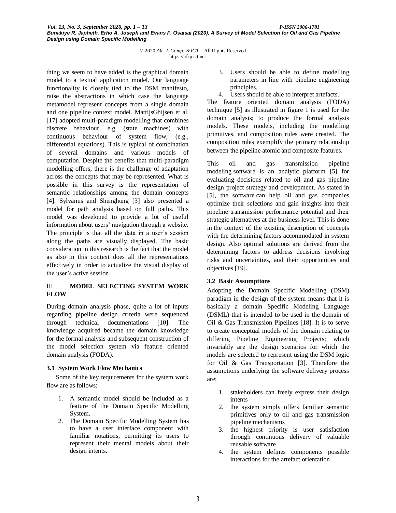thing we seem to have added is the graphical domain model to a textual application model. Our language functionality is closely tied to the DSM manifesto, raise the abstractions in which case the language metamodel represent concepts from a single domain and one pipeline context model. MattijsGhijsen et al. [17] adopted multi-paradigm modelling that combines discrete behaviour, e.g. (state machines) with continuous behaviour of system flow, (e.g., differential equations). This is typical of combination of several domains and various models of computation. Despite the benefits that multi-paradigm modelling offers, there is the challenge of adaptation across the concepts that may be represented. What is possible in this survey is the representation of semantic relationships among the domain concepts [4]. Sylvanus and Shenghong [3] also presented a model for path analysis based on full paths. This model was developed to provide a lot of useful information about users' navigation through a website. The principle is that all the data in a user's session along the paths are visually displayed. The basic consideration in this research is the fact that the model as also in this context does all the representations effectively in order to actualize the visual display of the user's active session.

## III. **MODEL SELECTING SYSTEM WORK FLOW**

During domain analysis phase, quite a lot of inputs regarding pipeline design criteria were sequenced through technical documentations [10]. The knowledge acquired became the domain knowledge for the formal analysis and subsequent construction of the model selection system via feature oriented domain analysis (FODA).

## **3.1 System Work Flow Mechanics**

Some of the key requirements for the system work flow are as follows:

- 1. A semantic model should be included as a feature of the Domain Specific Modelling System.
- 2. The Domain Specific Modelling System has to have a user interface component with familiar notations, permitting its users to represent their mental models about their design intents.
- 3. Users should be able to define modelling parameters in line with pipeline engineering principles.
- 4. Users should be able to interpret artefacts.

The feature oriented domain analysis (FODA) technique [5] as illustrated in figure 1 is used for the domain analysis; to produce the formal analysis models. These models, including the modelling primitives, and composition rules were created. The composition rules exemplify the primary relationship between the pipeline atomic and composite features.

This oil and gas transmission pipeline modeling software is an analytic platform [5] for evaluating decisions related to oil and gas pipeline design project strategy and development. As stated in [5], the software can help oil and gas companies optimize their selections and gain insights into their pipeline transmission performance potential and their strategic alternatives at the business level. This is done in the context of the existing description of concepts with the determining factors accommodated in system design. Also optimal solutions are derived from the determining factors to address decisions involving risks and uncertainties, and their opportunities and objectives [19].

# **3.2 Basic Assumptions**

Adopting the Domain Specific Modelling (DSM) paradigm in the design of the system means that it is basically a domain Specific Modeling Language (DSML) that is intended to be used in the domain of Oil & Gas Transmission Pipelines [18]. It is to serve to create conceptual models of the domain relating to differing Pipeline Engineering Projects; which invariably are the design scenarios for which the models are selected to represent using the DSM logic for Oil & Gas Transportation [3]. Therefore the assumptions underlying the software delivery process are:

- 1. stakeholders can freely express their design intents
- 2. the system simply offers familiar semantic primitives only to oil and gas transmission pipeline mechanisms
- 3. the highest priority is user satisfaction through continuous delivery of valuable reusable software
- 4. the system defines components possible interactions for the artefact orientation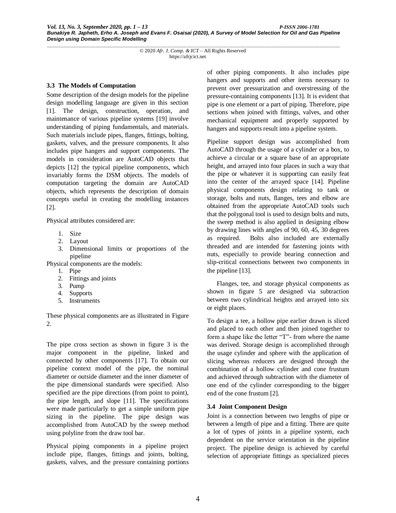## **3.3 The Models of Computation**

Some description of the design models for the pipeline design modelling language are given in this section [1]. The design, construction, operation, and maintenance of various pipeline systems [19] involve understanding of piping fundamentals, and materials. Such materials include pipes, flanges, fittings, bolting, gaskets, valves, and the pressure components. It also includes pipe hangers and support components. The models in consideration are AutoCAD objects that depicts [12] the typical pipeline components, which invariably forms the DSM objects. The models of computation targeting the domain are AutoCAD objects, which represents the description of domain concepts useful in creating the modelling instances [2].

Physical attributes considered are:

- 1. Size
- 2. Layout
- 3. Dimensional limits or proportions of the pipeline

Physical components are the models:

- 1. Pipe
- 2. Fittings and joints
- 3. Pump
- 4. Supports
- 5. Instruments

These physical components are as illustrated in Figure 2.

The pipe cross section as shown in figure 3 is the major component in the pipeline, linked and connected by other components [17]. To obtain our pipeline context model of the pipe, the nominal diameter or outside diameter and the inner diameter of the pipe dimensional standards were specified. Also specified are the pipe directions (from point to point), the pipe length, and slope [11]. The specifications were made particularly to get a simple uniform pipe sizing in the pipeline. The pipe design was accomplished from AutoCAD by the sweep method using polyline from the draw tool bar.

Physical piping components in a pipeline project include pipe, flanges, fittings and joints, bolting, gaskets, valves, and the pressure containing portions of other piping components. It also includes pipe hangers and supports and other items necessary to prevent over pressurization and overstressing of the pressure-containing components [13]. It is evident that pipe is one element or a part of piping. Therefore, pipe sections when joined with fittings, valves, and other mechanical equipment and properly supported by hangers and supports result into a pipeline system.

Pipeline support design was accomplished from AutoCAD through the usage of a cylinder or a box, to achieve a circular or a square base of an appropriate height, and arrayed into four places in such a way that the pipe or whatever it is supporting can easily feat into the center of the arrayed space [14]. Pipeline physical components design relating to tank or storage, bolts and nuts, flanges, tees and elbow are obtained from the appropriate AutoCAD tools such that the polygonal tool is used to design bolts and nuts, the sweep method is also applied in designing elbow by drawing lines with angles of 90, 60, 45, 30 degrees as required. Bolts also included are externally threaded and are intended for fastening joints with nuts, especially to provide bearing connection and slip-critical connections between two components in the pipeline [13].

 Flanges, tee, and storage physical components as shown in figure 5 are designed via subtraction between two cylindrical heights and arrayed into six or eight places.

To design a tee, a hollow pipe earlier drawn is sliced and placed to each other and then joined together to form a shape like the letter "T"- from where the name was derived. Storage design is accomplished through the usage cylinder and sphere with the application of slicing whereas reducers are designed through the combination of a hollow cylinder and cone frustum and achieved through subtraction with the diameter of one end of the cylinder corresponding to the bigger end of the cone frustum [2].

## **3.4 Joint Component Design**

Joint is a connection between two lengths of pipe or between a length of pipe and a fitting. There are quite a lot of types of joints in a pipeline system, each dependent on the service orientation in the pipeline project. The pipeline design is achieved by careful selection of appropriate fittings as specialized pieces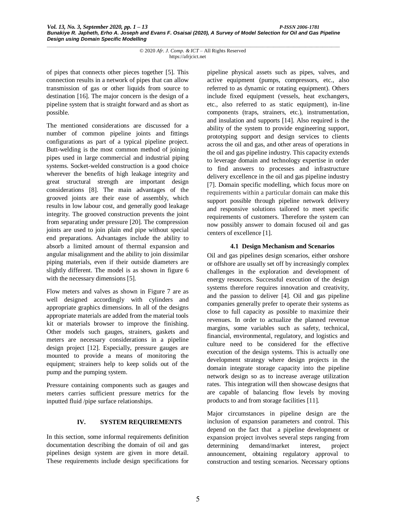of pipes that connects other pieces together [5]. This connection results in a network of pipes that can allow transmission of gas or other liquids from source to destination [16]. The major concern is the design of a pipeline system that is straight forward and as short as possible.

The mentioned considerations are discussed for a number of common pipeline joints and fittings configurations as part of a typical pipeline project. Butt-welding is the most common method of joining pipes used in large commercial and industrial piping systems. Socket-welded construction is a good choice wherever the benefits of high leakage integrity and great structural strength are important design considerations [8]. The main advantages of the grooved joints are their ease of assembly, which results in low labour cost, and generally good leakage integrity. The grooved construction prevents the joint from separating under pressure [20]. The compression joints are used to join plain end pipe without special end preparations. Advantages include the ability to absorb a limited amount of thermal expansion and angular misalignment and the ability to join dissimilar piping materials, even if their outside diameters are slightly different. The model is as shown in figure 6 with the necessary dimensions [5].

Flow meters and valves as shown in Figure 7 are as well designed accordingly with cylinders and appropriate graphics dimensions. In all of the designs appropriate materials are added from the material tools kit or materials browser to improve the finishing. Other models such gauges, strainers, gaskets and meters are necessary considerations in a pipeline design project [12]. Especially, pressure gauges are mounted to provide a means of monitoring the equipment; strainers help to keep solids out of the pump and the pumping system.

Pressure containing components such as gauges and meters carries sufficient pressure metrics for the inputted fluid /pipe surface relationships.

## **IV. SYSTEM REQUIREMENTS**

In this section, some informal requirements definition documentation describing the domain of oil and gas pipelines design system are given in more detail. These requirements include design specifications for pipeline physical assets such as pipes, valves, and active equipment (pumps, compressors, etc., also referred to as dynamic or rotating equipment). Others include fixed equipment (vessels, heat exchangers, etc., also referred to as static equipment), in-line components (traps, strainers, etc.), instrumentation, and insulation and supports [14]. Also required is the ability of the system to provide engineering support, prototyping support and design services to clients across the oil and gas, and other areas of operations in the oil and gas pipeline industry. This capacity extends to leverage domain and technology expertise in order to find answers to processes and infrastructure delivery excellence in the oil and gas pipeline industry [7]. Domain specific modelling, which focus more on requirements within a particular domain can make this support possible through pipeline network delivery and responsive solutions tailored to meet specific requirements of customers. Therefore the system can now possibly answer to domain focused oil and gas centers of excellence [1].

## **4.1 Design Mechanism and Scenarios**

Oil and gas pipelines design scenarios, either onshore or offshore are usually set off by increasingly complex challenges in the exploration and development of energy resources. Successful execution of the design systems therefore requires innovation and creativity, and the passion to deliver [4]. Oil and gas pipeline companies generally prefer to operate their systems as close to full capacity as possible to maximize their revenues. In order to actualize the planned revenue margins, some variables such as safety, technical, financial, environmental, regulatory, and logistics and culture need to be considered for the effective execution of the design systems. This is actually one development strategy where design projects in the domain integrate storage capacity into the pipeline network design so as to increase average utilization rates. This integration will then showcase designs that are capable of balancing flow levels by moving products to and from storage facilities [11].

Major circumstances in pipeline design are the inclusion of expansion parameters and control. This depend on the fact that a pipeline development or expansion project involves several steps ranging from determining demand/market interest, project announcement, obtaining regulatory approval to construction and testing scenarios. Necessary options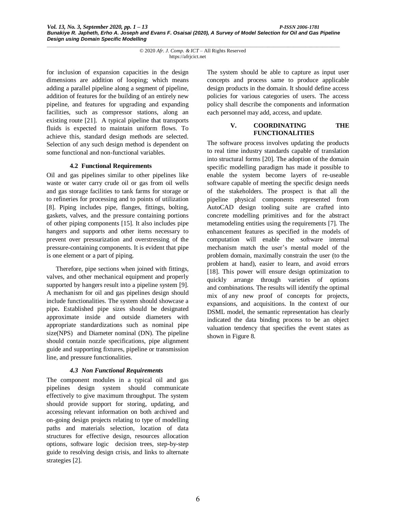for inclusion of expansion capacities in the design dimensions are addition of looping; which means adding a parallel pipeline along a segment of pipeline, addition of features for the building of an entirely new pipeline, and features for upgrading and expanding facilities, such as compressor stations, along an existing route [21]. A typical pipeline that transports fluids is expected to maintain uniform flows. To achieve this, standard design methods are selected. Selection of any such design method is dependent on some functional and non-functional variables.

#### **4.2 Functional Requirements**

Oil and gas pipelines similar to other pipelines like waste or water carry crude oil or gas from oil wells and gas storage facilities to tank farms for storage or to refineries for processing and to points of utilization [8]. Piping includes pipe, flanges, fittings, bolting, gaskets, valves, and the pressure containing portions of other piping components [15]. It also includes pipe hangers and supports and other items necessary to prevent over pressurization and overstressing of the pressure-containing components. It is evident that pipe is one element or a part of piping.

Therefore, pipe sections when joined with fittings, valves, and other mechanical equipment and properly supported by hangers result into a pipeline system [9]. A mechanism for oil and gas pipelines design should include functionalities. The system should showcase a pipe**.** Established pipe sizes should be designated approximate inside and outside diameters with appropriate standardizations such as nominal pipe size(NPS) and Diameter nominal (DN). The pipeline should contain nozzle specifications, pipe alignment guide and supporting fixtures, pipeline or transmission line, and pressure functionalities.

## *4.3 Non Functional Requirements*

The component modules in a typical oil and gas pipelines design system should communicate effectively to give maximum throughput. The system should provide support for storing, updating, and accessing relevant information on both archived and on-going design projects relating to type of modelling paths and materials selection, location of data structures for effective design, resources allocation options, software logic decision trees, step-by-step guide to resolving design crisis, and links to alternate strategies [2].

The system should be able to capture as input user concepts and process same to produce applicable design products in the domain. It should define access policies for various categories of users. The access policy shall describe the components and information each personnel may add, access, and update.

#### **V. COORDINATING THE FUNCTIONALITIES**

The software process involves updating the products to real time industry standards capable of translation into structural forms [20]. The adoption of the domain specific modelling paradigm has made it possible to enable the system become layers of re-useable software capable of meeting the specific design needs of the stakeholders. The prospect is that all the pipeline physical components represented from AutoCAD design tooling suite are crafted into concrete modelling primitives and for the abstract metamodeling entities using the requirements [7]. The enhancement features as specified in the models of computation will enable the software internal mechanism match the user's mental model of the problem domain, maximally constrain the user (to the problem at hand), easier to learn, and avoid errors [18]. This power will ensure design optimization to quickly arrange through varieties of options and combinations. The results will identify the optimal mix of any new proof of concepts for projects, expansions, and acquisitions. In the context of our DSML model, the semantic representation has clearly indicated the data binding process to be an object valuation tendency that specifies the event states as shown in Figure 8.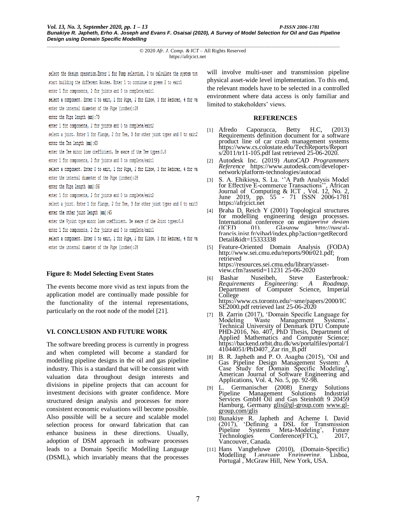select the design operation. Enter 1 for Pump selection, 2 to calculate the system tota start building the different Routes. Enter 1 to continue or press 2 to exit1 enter 1 for components, 2 for joints and 0 to complete/exit1

select a component. Enter 0 to exit, 1 for Pipe, 2 for Elbow, 3 for Reducer, 4 for val

enter the internal diameter of the Pipe (inches):28

enter the Pipe length (mm):79

enter 1 for components, 2 for joints and 0 to complete/exit2

select a joint. Enter 1 for Flange, 2 for Tee, 3 for other joint types and 0 to exit2 enter the Tee length (mm):69

enter the Tee minor loss coefficient. Be aware of the Tee types: 0.8

enter 1 for components, 2 for joints and 0 to complete/exit1

select a component. Enter 0 to exit, 1 for Pipe, 2 for Elbow, 3 for Reducer, 4 for val

enter the internal diameter of the Pipe (inches):28

enter the Pipe length (mm):86

enter 1 for components, 2 for joints and 0 to complete/exit2

select a joint. Enter 1 for Flange, 2 for Tee, 3 for other joint types and 0 to exit3 enter the other joint length (mm):45

enter the Vjoint type minor loss coefficient. Be aware of the Joint types: 0.6

enter 1 for components, 2 for joints and 0 to complete/exit1

select a component. Enter 0 to exit, 1 for Pipe, 2 for Elbow, 3 for Reducer, 4 for val enter the internal diameter of the Pipe (inches):28

# **Figure 8: Model Selecting Event States**

The events become more vivid as text inputs from the application model are continually made possible for the functionality of the internal representations, particularly on the root node of the model [21].

# **VI. CONCLUSION AND FUTURE WORK**

The software breeding process is currently in progress and when completed will become a standard for modelling pipeline designs in the oil and gas pipeline industry. This is a standard that will be consistent with valuation data throughout design interests and divisions in pipeline projects that can account for investment decisions with greater confidence. More structured design analysis and processes for more consistent economic evaluations will become possible. Also possible will be a secure and scalable model selection process for onward fabrication that can enhance business in these directions. Usually, adoption of DSM approach in software processes leads to a Domain Specific Modelling Language (DSML), which invariably means that the processes

will involve multi-user and transmission pipeline physical asset-wide level implementation. To this end, the relevant models have to be selected in a controlled environment where data access is only familiar and limited to stakeholders' views.

## **REFERENCES**

- [1] Afredo Capozucca, Betty H.C, (2013) Requirements definition document for a software product line of car crash management systems https://www.cs.colostate.edu/TechReports/Report s/2011/tr11-105.pdf last retrieved 25-06-2020.
- [2] Autodesk Inc. (2019) *AutoCAD Programmers Reference* https://www.autodesk.com/developernetwork/platform-technologies/autocad
- [3] S. A. Ehikioya, S. Lu. ''A Path Analysis Model for Effective E-commerce Transactions'', African Journal of Computing & ICT, Vol. 12, No. 2, June 2019, pp. 55 - 71 ISSN 2006-1781 https://afrjcict.net
- [4] Braha D, Reich Y (2001) Topological structures for modelling engineering design processes. International conference on engineering design (ICED 01), Glasgow http://pascalfrancis.inist.fr/vibad/index.php?action=getRecord Detail&idt=15333338
- [5] Feature-Oriented Domain Analysis (FODA) http://www.sei.cmu.edu/reports/90tr021.pdf;<br>retrieved from retrieved https://resources.sei.cmu.edu/library/assetview.cfm?assetid=11231 25-06-2020
- [6] Bashar Nuseibeh, Steve Easterbrook*: Requirements Engineering: A Roadmap*. Department of Computer Science, Imperial College https://www.cs.toronto.edu/~sme/papers/2000/IC SE2000.pdf retrieved last 25-06-2020
- [7] B. Zarrin (2017), 'Domain Specific Language for Modeling Waste Management Systems', Technical University of Denmark DTU Compute PHD-2016, No. 407, PhD Thesis, Department of Applied Mathematics and Computer Science; https://backend.orbit.dtu.dk/ws/portalfiles/portal/1 41044051/PhD407\_Zar rin\_B.pdf
- [8] B. R. Japheth and P. O. Asagba (2015), 'Oil and Gas Pipeline Design Management System: A Case Study for Domain Specific Modeling', American Journal of Software Engineering and Applications, Vol. 4, No. 5, pp. 92-98.
- [9] L. Germanischer (2008) Energy Solutions Pipeline Management Solutions Industrial Services GmbH Oil and Gas Steinhöft 9 20459 Hamburg, Germany glis@gl-group.com [www.gl](http://www.gl-group.com/glis)[group.com/glis](http://www.gl-group.com/glis)
- [10] Bunakiye R. Japheth and Acheme I. David (2017), 'Defining a DSL for Transmission Pipeline Systems Meta-Modeling', Future Technologies Conference(FTC), 2017, Vancouver, Canada.
- [11] Hans Vangheluwe (2010), (Domain-Specific) Modelling Language Engineering, Lisboa, Portugal , McGraw Hill, New York, USA.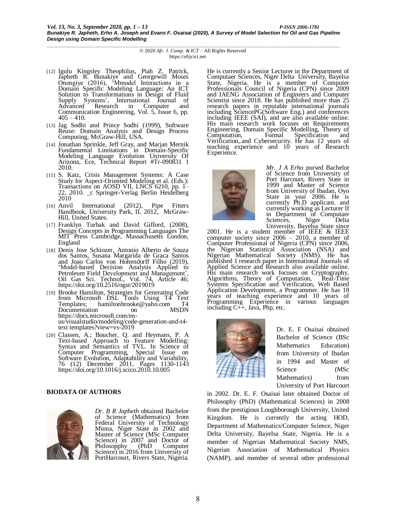- [12] Igulu Kingsley Theophilus, Piah Z. Patrick, Japheth R. Bunakiye and Georgewill Moses Onengiye (2016), 'Mmodel Interactions in a Domain Specific Modeling Language: An ICT Solution to Transformations in Design of Fluid Supply Systems', International Journal of Advanced Research in Computer and Communication Engineering, Vol. 5, Issue 6, pp.  $405 - 410$ .
- [13] Jag Sodhi and Prince Sodhi (1999), Software Reuse: Domain Analysis and Design Process Computing, McGraw-Hill, USA.
- [14] Jonathan Sprinkle, Jeff Gray, and Marjan Mernik Fundamental Limitations in Domain-Specific Modeling Language Evolution University Of Arizona, Ece, Technical Report #Tr-090831 1 2010.
- [15] S. Katz, Crisis Management Systems: A Case Study for Aspect-Oriented Modeling et al. (Eds.): Transactions on AOSD VII, LNCS 6210, pp. 1– 22, 2010. *\_*c Springer-Verlag Berlin Heidelberg 2010
- [16] Anvil International (2012), Pipe Fitters Handbook, University Park, IL 2012, McGraw-Hill, United States.
- [17] Franklyn Turbak and David Gifford, (2008), Design Concepts in Programming Languages The MIT Press Cambridge, Massachusetts London, England
- [18] Denis Jose Schiozer, Antonio Alberto de Souza dos Santos, Susana Margarida de Graca Santos and Joao Carlos von Hohendorff Filho (2019), 'Model-based Decision Analysis Applied to Petroleum Field Development and Management', Oil Gas Sci. Technol., Vol. 74, Article 46; https://doi.org/10.2516/ogst/2019019
- [19] Brooke Hamilton, Strategies for Generating Code from Microsoft DSL Tools Using T4 Text Templates; hamiltonbrooke@yaho.com T4<br>Documentation on MSDN Documentation on https://docs.microsoft.com/enus/visualstudio/modeling/code-generation-and-t4 text templates?view=vs-2019
- [20] Classen, A.; Boucher, Q. and Heymans, P. A Text-based Approach to Feature Modelling: Syntax and Semantics of TVL. In Science of Computer Programming, Special Issue on Software Evolution, Adaptability and Variability, 76 (12) December 2011, Pages 1130-1143 https://doi.org/10.1016/j.scico.2010.10.005

## **BIODATA OF AUTHORS**



*Dr. B R Japheth* obtained Bachelor of Science (Mathematics) from Federal University of Technology Minna, Niger State in 2002 and Master of Science (MSc Computer Science) in 2007 and Doctor of Philosopphy (PhD Computer Science) in 2016 from University of PortHarcourt, Rivers State, Nigeria. He is currently a Senior Lecturer in the Department of Computaer Sciences, Niger Delta University, Bayelsa State, Nigeria. He is a member of Computer Professionals Council of Nigeria (CPN) since 2009 and IAENG Association of Engineers and Computer Scientist since 2018. He has published more than 25 research papers in reputable international journals including SciencePG(Software Eng.) and conferences including IEEE (SAI), and are also available online. His main research work focuses on Requirements Engineering, Domain Specific Modelling, Theory of Computation, Formal Specification and Verification,.and Cybersecurity. He has 12 years of teaching experience and 10 years of Research Experience.



*Mr. J A Erho* pursed Bachelor of Science from University of Port Harcourt, Rivers State in 1999 and Master of Science from University of Ibadan, Oyo State in year 2006. He is currently Ph.D applicant. and currently working as Lecturer II in Department of Computaer Sciences, Niger Delta University, Bayelsa State since

2001. He is a student member of IEEE & IEEE computer society since  $2006 - 2010$ , a member of Computer Professional of Nigeria (CPN) since 2006, the Nigerian Statistical Association (NSA) and Nigerian Mathematical Society (NMS). He has published 1 research paper in International Journals of Applied Science and Research also available online. His main research work focuses on Cryptography, Algorithms, Theory of Computation, Real-Time Systems Specification and Verification, Web Based Application Development, a Programmer. He has 18 years of teaching experience and 10 years of Programming Experience in various languages including C++, Java, Php, etc.



Dr. E. F Osaisai obtained Bachelor of Science (BSc Mathematics Education) from University of Ibadan in 1994 and Master of Science (MSc Mathematics) from University of Port Harcourt

in 2002. Dr. E. F. Osaisai later obtained Doctor of Philosophy (PhD) (Mathematical Sciences) in 2008 from the prestigious Loughborough University, United Kingdom. He is currently the acting HOD, Department of Mathematics/Computer Science, Niger Delta University, Bayelsa State, Nigeria. He is a member of Nigerian Mathematical Society NMS, Nigerian Association of Mathematical Physics (NAMP), and member of several other professional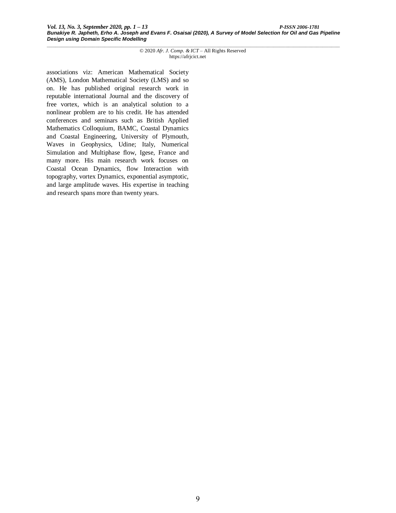associations viz: American Mathematical Society (AMS), London Mathematical Society (LMS) and so on. He has published original research work in reputable international Journal and the discovery of free vortex, which is an analytical solution to a nonlinear problem are to his credit. He has attended conferences and seminars such as British Applied Mathematics Colloquium, BAMC, Coastal Dynamics and Coastal Engineering, University of Plymouth, Waves in Geophysics, Udine; Italy, Numerical Simulation and Multiphase flow, Igese, France and many more. His main research work focuses on Coastal Ocean Dynamics, flow Interaction with topography, vortex Dynamics, exponential asymptotic, and large amplitude waves. His expertise in teaching and research spans more than twenty years.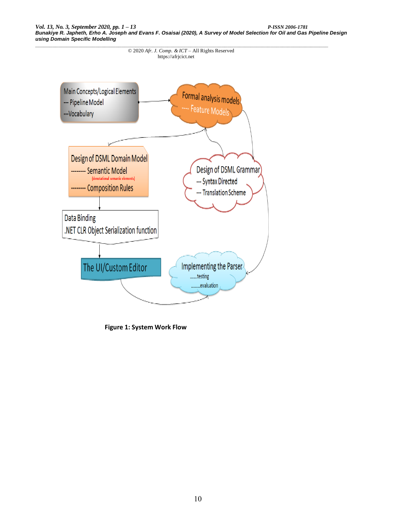

**Figure 1: System Work Flow**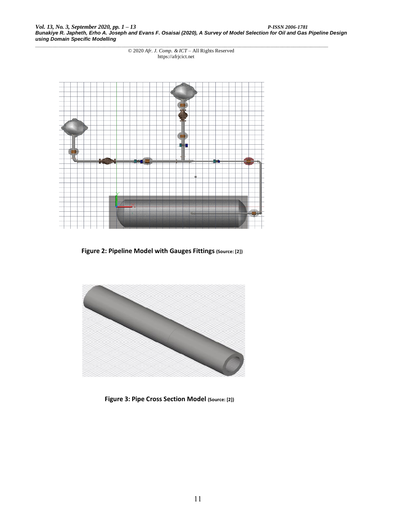*\_\_\_\_\_\_\_\_\_\_\_\_\_\_\_\_\_\_\_\_\_\_\_\_\_\_\_\_\_\_\_\_\_\_\_\_\_\_\_\_\_\_\_\_\_\_\_\_\_\_\_\_\_\_\_\_\_\_\_\_\_\_\_\_\_\_\_\_\_\_\_\_\_\_\_\_\_\_\_\_\_\_\_\_\_\_\_\_\_\_\_\_\_\_\_\_\_\_\_\_\_\_* © 2020 *Afr. J. Comp. & ICT* – All Rights Reserved https://afrjcict.net



**Figure 2: Pipeline Model with Gauges Fittings (Source: [2])**



**Figure 3: Pipe Cross Section Model (Source: [2])**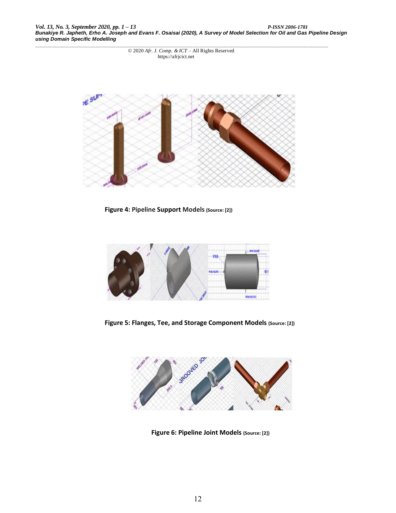*\_\_\_\_\_\_\_\_\_\_\_\_\_\_\_\_\_\_\_\_\_\_\_\_\_\_\_\_\_\_\_\_\_\_\_\_\_\_\_\_\_\_\_\_\_\_\_\_\_\_\_\_\_\_\_\_\_\_\_\_\_\_\_\_\_\_\_\_\_\_\_\_\_\_\_\_\_\_\_\_\_\_\_\_\_\_\_\_\_\_\_\_\_\_\_\_\_\_\_\_\_\_* © 2020 *Afr. J. Comp. & ICT* – All Rights Reserved https://afrjcict.net



**Figure 4: Pipeline Support Models (Source: [2])**



**Figure 5: Flanges, Tee, and Storage Component Models (Source: [2])**



**Figure 6: Pipeline Joint Models (Source: [2])**